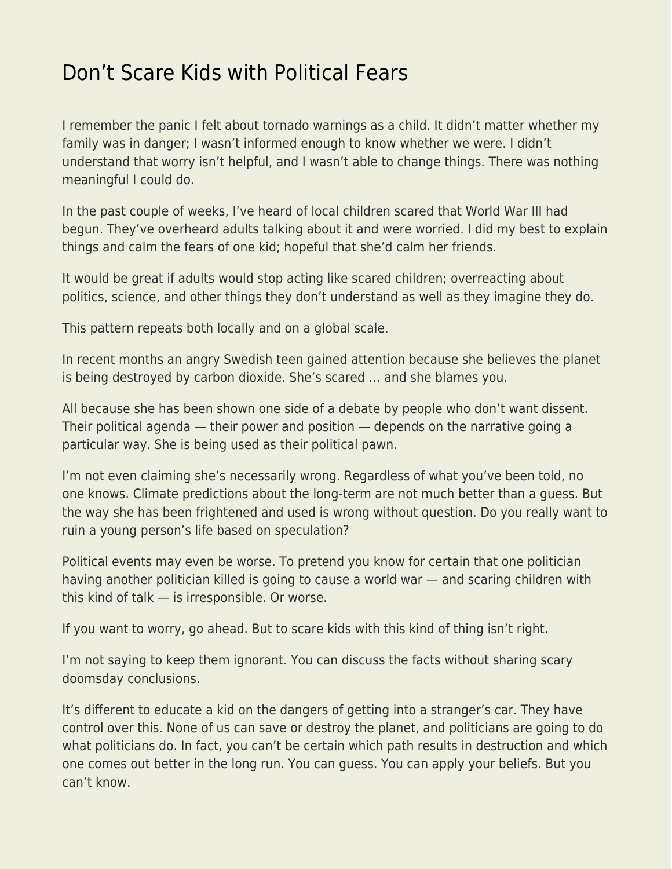## [Don't Scare Kids with Political Fears](https://everything-voluntary.com/dont-scare-kids-with-political-fears)

I remember the panic I felt about tornado warnings as a child. It didn't matter whether my family was in danger; I wasn't informed enough to know whether we were. I didn't understand that worry isn't helpful, and I wasn't able to change things. There was nothing meaningful I could do.

In the past couple of weeks, I've heard of local children scared that World War III had begun. They've overheard adults talking about it and were worried. I did my best to explain things and calm the fears of one kid; hopeful that she'd calm her friends.

It would be great if adults would stop acting like scared children; overreacting about politics, science, and other things they don't understand as well as they imagine they do.

This pattern repeats both locally and on a global scale.

In recent months an angry Swedish teen gained attention because she believes the planet is being destroyed by carbon dioxide. She's scared … and she blames you.

All because she has been shown one side of a debate by people who don't want dissent. Their political agenda — their power and position — depends on the narrative going a particular way. She is being used as their political pawn.

I'm not even claiming she's necessarily wrong. Regardless of what you've been told, no one knows. Climate predictions about the long-term are not much better than a guess. But the way she has been frightened and used is wrong without question. Do you really want to ruin a young person's life based on speculation?

Political events may even be worse. To pretend you know for certain that one politician having another politician killed is going to cause a world war — and scaring children with this kind of talk — is irresponsible. Or worse.

If you want to worry, go ahead. But to scare kids with this kind of thing isn't right.

I'm not saying to keep them ignorant. You can discuss the facts without sharing scary doomsday conclusions.

It's different to educate a kid on the dangers of getting into a stranger's car. They have control over this. None of us can save or destroy the planet, and politicians are going to do what politicians do. In fact, you can't be certain which path results in destruction and which one comes out better in the long run. You can guess. You can apply your beliefs. But you can't know.